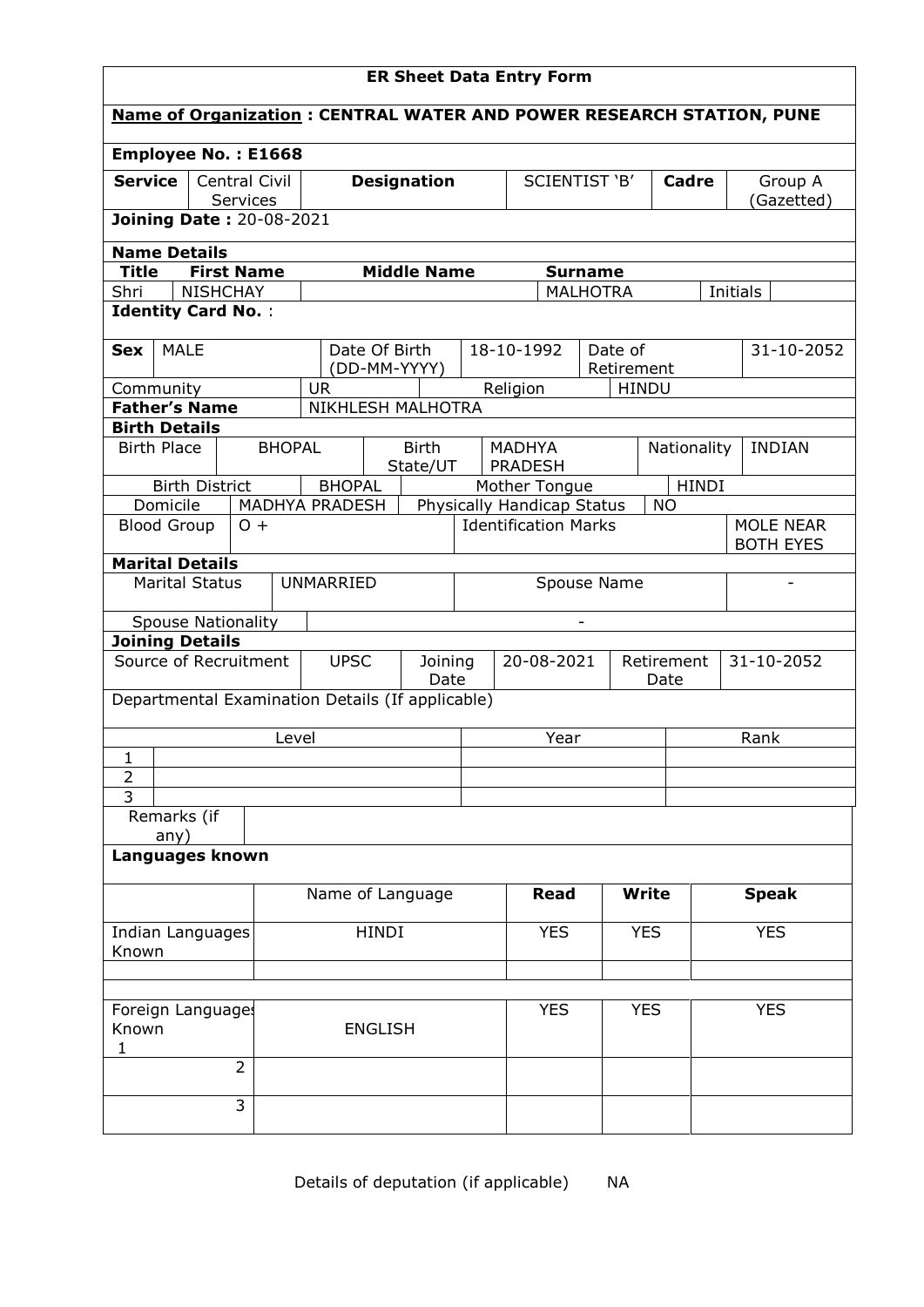| <b>ER Sheet Data Entry Form</b>                                                     |                       |                           |                |                |                          |                                                                        |                                 |                       |                    |              |                                                                             |
|-------------------------------------------------------------------------------------|-----------------------|---------------------------|----------------|----------------|--------------------------|------------------------------------------------------------------------|---------------------------------|-----------------------|--------------------|--------------|-----------------------------------------------------------------------------|
|                                                                                     |                       |                           |                |                |                          |                                                                        |                                 |                       |                    |              | <b>Name of Organization: CENTRAL WATER AND POWER RESEARCH STATION, PUNE</b> |
| <b>Employee No.: E1668</b>                                                          |                       |                           |                |                |                          |                                                                        |                                 |                       |                    |              |                                                                             |
| <b>Service</b>                                                                      |                       | Central Civil<br>Services |                |                | <b>Designation</b>       |                                                                        | SCIENTIST 'B'                   |                       |                    | Cadre        | Group A<br>(Gazetted)                                                       |
| <b>Joining Date: 20-08-2021</b>                                                     |                       |                           |                |                |                          |                                                                        |                                 |                       |                    |              |                                                                             |
| <b>Name Details</b><br><b>First Name</b><br><b>Middle Name</b>                      |                       |                           |                |                |                          |                                                                        |                                 |                       |                    |              |                                                                             |
| Title                                                                               |                       |                           |                |                |                          |                                                                        |                                 | <b>Surname</b>        |                    |              |                                                                             |
| <b>NISHCHAY</b><br>Initials<br>Shri<br><b>MALHOTRA</b><br><b>Identity Card No.:</b> |                       |                           |                |                |                          |                                                                        |                                 |                       |                    |              |                                                                             |
|                                                                                     |                       |                           |                |                |                          |                                                                        |                                 |                       |                    |              |                                                                             |
| <b>MALE</b><br><b>Sex</b>                                                           |                       |                           |                | Date Of Birth  | (DD-MM-YYYY)             |                                                                        | 18-10-1992                      | Date of<br>Retirement |                    |              | 31-10-2052                                                                  |
| Community                                                                           |                       |                           | <b>UR</b>      |                |                          |                                                                        | Religion                        |                       | <b>HINDU</b>       |              |                                                                             |
| <b>Father's Name</b>                                                                |                       |                           |                |                | NIKHLESH MALHOTRA        |                                                                        |                                 |                       |                    |              |                                                                             |
| <b>Birth Details</b>                                                                |                       |                           |                |                |                          |                                                                        |                                 |                       |                    |              |                                                                             |
| <b>Birth Place</b>                                                                  |                       | <b>BHOPAL</b>             |                |                | <b>Birth</b><br>State/UT |                                                                        | <b>MADHYA</b><br><b>PRADESH</b> |                       | Nationality        |              | <b>INDIAN</b>                                                               |
|                                                                                     | <b>Birth District</b> |                           | <b>BHOPAL</b>  |                |                          |                                                                        | Mother Tongue                   |                       |                    | <b>HINDI</b> |                                                                             |
| Domicile                                                                            |                       |                           | MADHYA PRADESH |                |                          | Physically Handicap Status<br><b>NO</b><br><b>Identification Marks</b> |                                 |                       |                    |              |                                                                             |
| <b>Blood Group</b>                                                                  |                       | $O +$                     |                |                |                          |                                                                        |                                 |                       |                    |              | <b>MOLE NEAR</b><br><b>BOTH EYES</b>                                        |
| <b>Marital Details</b>                                                              |                       |                           |                |                |                          |                                                                        |                                 |                       |                    |              |                                                                             |
| <b>Marital Status</b>                                                               |                       | <b>UNMARRIED</b>          |                |                | Spouse Name              |                                                                        |                                 |                       |                    |              |                                                                             |
| <b>Spouse Nationality</b>                                                           |                       |                           |                |                |                          |                                                                        |                                 |                       |                    |              |                                                                             |
| <b>Joining Details</b>                                                              |                       |                           |                |                |                          |                                                                        |                                 |                       |                    |              |                                                                             |
| Source of Recruitment                                                               |                       |                           | <b>UPSC</b>    |                | Joining<br>Date          |                                                                        | 20-08-2021                      |                       | Retirement<br>Date | 31-10-2052   |                                                                             |
| Departmental Examination Details (If applicable)                                    |                       |                           |                |                |                          |                                                                        |                                 |                       |                    |              |                                                                             |
|                                                                                     |                       | Level                     |                |                |                          |                                                                        | Year                            |                       |                    |              | Rank                                                                        |
| $\mathbf{1}$                                                                        |                       |                           |                |                |                          |                                                                        |                                 |                       |                    |              |                                                                             |
| $\overline{2}$<br>$\overline{3}$                                                    |                       |                           |                |                |                          |                                                                        |                                 |                       |                    |              |                                                                             |
| Remarks (if                                                                         |                       |                           |                |                |                          |                                                                        |                                 |                       |                    |              |                                                                             |
| any)                                                                                |                       |                           |                |                |                          |                                                                        |                                 |                       |                    |              |                                                                             |
| Languages known                                                                     |                       |                           |                |                |                          |                                                                        |                                 |                       |                    |              |                                                                             |
|                                                                                     | Name of Language      |                           |                |                | <b>Read</b>              |                                                                        |                                 | <b>Write</b>          |                    | <b>Speak</b> |                                                                             |
| Indian Languages                                                                    |                       |                           |                | <b>HINDI</b>   |                          |                                                                        | <b>YES</b>                      |                       | <b>YES</b>         |              | <b>YES</b>                                                                  |
| Known                                                                               |                       |                           |                |                |                          |                                                                        |                                 |                       |                    |              |                                                                             |
|                                                                                     |                       |                           |                |                |                          |                                                                        |                                 |                       |                    |              |                                                                             |
| Foreign Language:                                                                   |                       |                           |                |                |                          |                                                                        | <b>YES</b>                      |                       | <b>YES</b>         |              | <b>YES</b>                                                                  |
| Known<br>1                                                                          |                       |                           |                | <b>ENGLISH</b> |                          |                                                                        |                                 |                       |                    |              |                                                                             |
|                                                                                     |                       | $\overline{2}$            |                |                |                          |                                                                        |                                 |                       |                    |              |                                                                             |
|                                                                                     |                       | 3                         |                |                |                          |                                                                        |                                 |                       |                    |              |                                                                             |
|                                                                                     |                       |                           |                |                |                          |                                                                        |                                 |                       |                    |              |                                                                             |

Details of deputation (if applicable) NA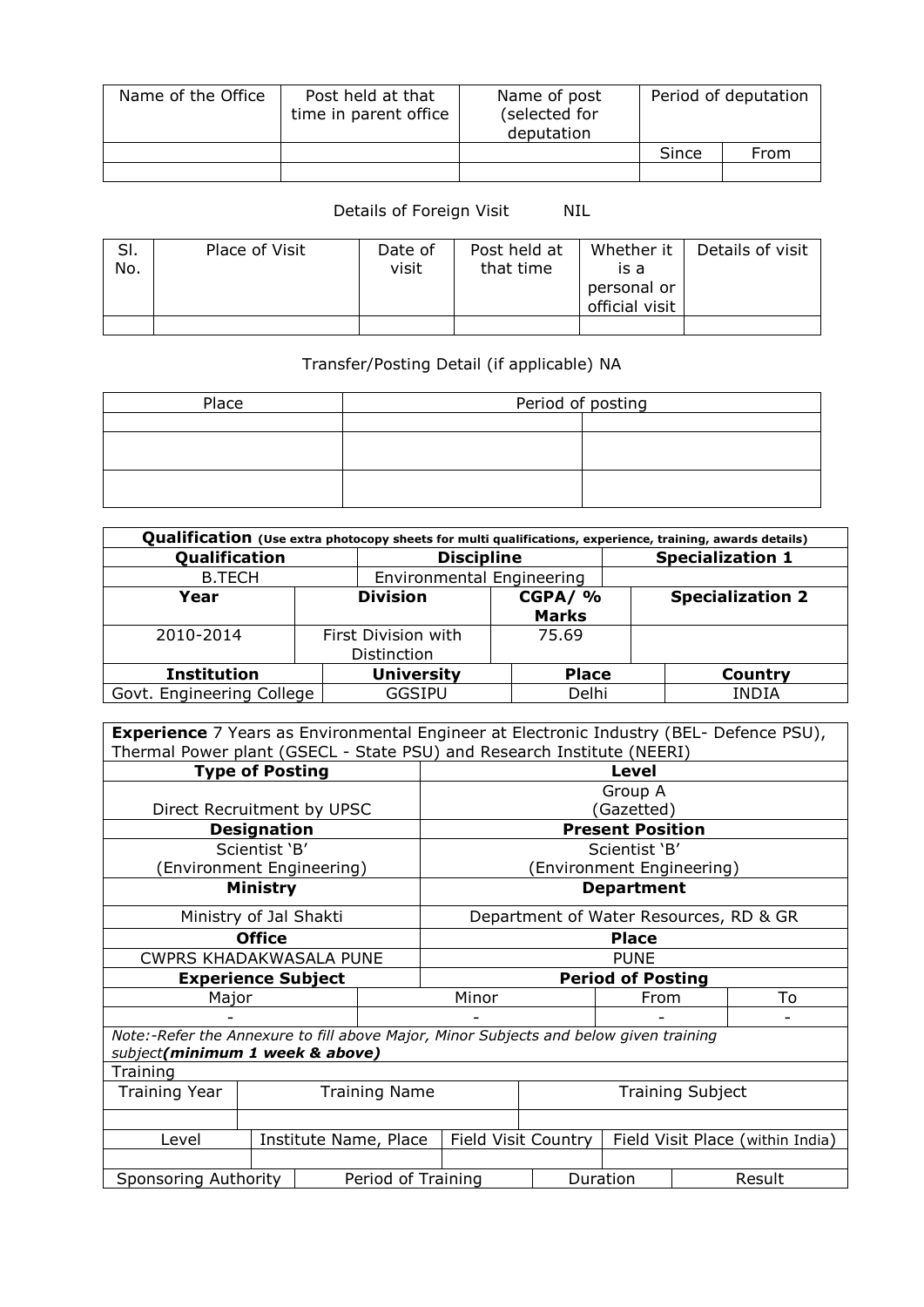| Name of the Office | Post held at that<br>time in parent office | Name of post<br>(selected for<br>deputation | Period of deputation |      |  |
|--------------------|--------------------------------------------|---------------------------------------------|----------------------|------|--|
|                    |                                            |                                             | Since                | From |  |
|                    |                                            |                                             |                      |      |  |

## Details of Foreign Visit NIL

| SI.<br>No. | Place of Visit | Date of<br>visit | Post held at<br>that time | Whether it<br>is a<br>personal or | Details of visit |
|------------|----------------|------------------|---------------------------|-----------------------------------|------------------|
|            |                |                  |                           | official visit                    |                  |
|            |                |                  |                           |                                   |                  |

## Transfer/Posting Detail (if applicable) NA

| Place | Period of posting |  |  |  |  |  |
|-------|-------------------|--|--|--|--|--|
|       |                   |  |  |  |  |  |
|       |                   |  |  |  |  |  |
|       |                   |  |  |  |  |  |
|       |                   |  |  |  |  |  |
|       |                   |  |  |  |  |  |

| Qualification (Use extra photocopy sheets for multi qualifications, experience, training, awards details) |  |                           |              |  |                         |  |  |  |  |
|-----------------------------------------------------------------------------------------------------------|--|---------------------------|--------------|--|-------------------------|--|--|--|--|
| Qualification                                                                                             |  | <b>Discipline</b>         |              |  | <b>Specialization 1</b> |  |  |  |  |
| <b>B.TECH</b>                                                                                             |  | Environmental Engineering |              |  |                         |  |  |  |  |
| Year                                                                                                      |  | <b>Division</b>           | CGPA/%       |  | <b>Specialization 2</b> |  |  |  |  |
|                                                                                                           |  |                           | <b>Marks</b> |  |                         |  |  |  |  |
| 2010-2014                                                                                                 |  | First Division with       | 75.69        |  |                         |  |  |  |  |
|                                                                                                           |  | Distinction               |              |  |                         |  |  |  |  |
| <b>Institution</b>                                                                                        |  | <b>University</b>         | <b>Place</b> |  | Country                 |  |  |  |  |
| Govt. Engineering College                                                                                 |  | <b>GGSIPU</b>             | Delhi        |  | <b>INDIA</b>            |  |  |  |  |

**Experience** 7 Years as Environmental Engineer at Electronic Industry (BEL- Defence PSU), Thermal Power plant (GSECL - State PSU) and Research Institute (NEERI)

| <b>Type of Posting</b>                                                                |                            |  |                         |                          | <b>Level</b>                                            |                                        |                           |  |    |  |
|---------------------------------------------------------------------------------------|----------------------------|--|-------------------------|--------------------------|---------------------------------------------------------|----------------------------------------|---------------------------|--|----|--|
|                                                                                       |                            |  |                         |                          | Group A                                                 |                                        |                           |  |    |  |
|                                                                                       | Direct Recruitment by UPSC |  |                         |                          |                                                         | Gazetted)                              |                           |  |    |  |
|                                                                                       | <b>Designation</b>         |  |                         |                          | <b>Present Position</b>                                 |                                        |                           |  |    |  |
|                                                                                       | Scientist 'B'              |  |                         |                          |                                                         |                                        | Scientist 'B'             |  |    |  |
| (Environment Engineering)                                                             |                            |  |                         |                          |                                                         |                                        | (Environment Engineering) |  |    |  |
|                                                                                       | Ministry                   |  |                         |                          |                                                         |                                        | <b>Department</b>         |  |    |  |
| Ministry of Jal Shakti                                                                |                            |  |                         |                          |                                                         | Department of Water Resources, RD & GR |                           |  |    |  |
| <b>Office</b>                                                                         |                            |  |                         | <b>Place</b>             |                                                         |                                        |                           |  |    |  |
| <b>CWPRS KHADAKWASALA PUNE</b>                                                        |                            |  |                         | <b>PUNE</b>              |                                                         |                                        |                           |  |    |  |
| <b>Experience Subject</b>                                                             |                            |  |                         | <b>Period of Posting</b> |                                                         |                                        |                           |  |    |  |
| Major                                                                                 |                            |  |                         |                          | Minor<br>From                                           |                                        |                           |  | To |  |
|                                                                                       |                            |  |                         |                          | $\overline{\phantom{0}}$                                |                                        |                           |  |    |  |
| Note:-Refer the Annexure to fill above Major, Minor Subjects and below given training |                            |  |                         |                          |                                                         |                                        |                           |  |    |  |
| subject(minimum 1 week & above)                                                       |                            |  |                         |                          |                                                         |                                        |                           |  |    |  |
| Training                                                                              |                            |  |                         |                          |                                                         |                                        |                           |  |    |  |
| <b>Training Name</b><br><b>Training Year</b>                                          |                            |  | <b>Training Subject</b> |                          |                                                         |                                        |                           |  |    |  |
|                                                                                       |                            |  |                         |                          |                                                         |                                        |                           |  |    |  |
| Institute Name, Place<br>Level                                                        |                            |  |                         |                          | Field Visit Country<br>Field Visit Place (within India) |                                        |                           |  |    |  |
|                                                                                       |                            |  |                         |                          |                                                         |                                        |                           |  |    |  |
| Sponsoring Authority                                                                  |                            |  | Period of Training      |                          |                                                         |                                        | Duration<br>Result        |  |    |  |